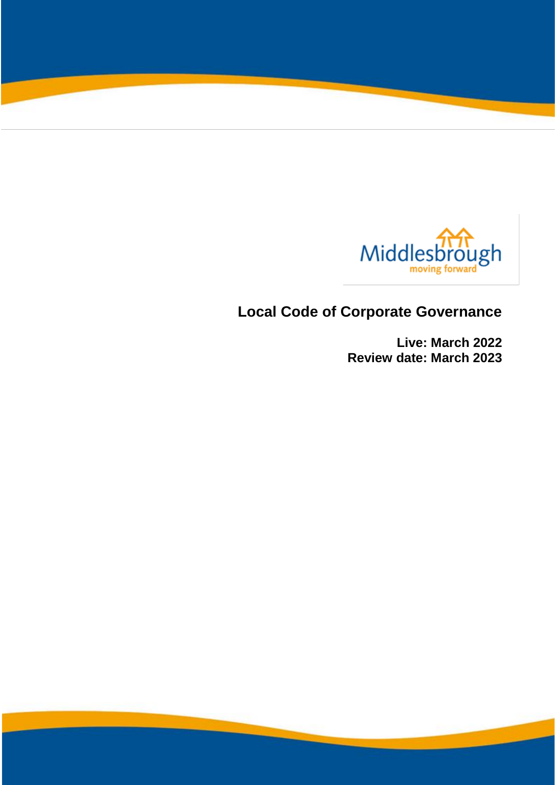

# **Local Code of Corporate Governance**

**Live: March 2022 Review date: March 2023**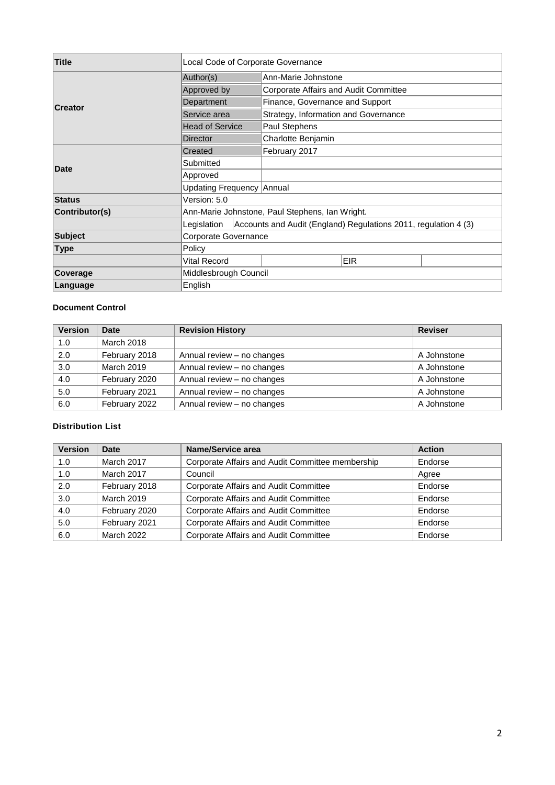| <b>Title</b>   | Local Code of Corporate Governance |                                                                 |  |
|----------------|------------------------------------|-----------------------------------------------------------------|--|
|                | Author(s)                          | Ann-Marie Johnstone                                             |  |
|                | Approved by                        | Corporate Affairs and Audit Committee                           |  |
|                | Department                         | Finance, Governance and Support                                 |  |
| <b>Creator</b> | Service area                       | Strategy, Information and Governance                            |  |
|                | <b>Head of Service</b>             | Paul Stephens                                                   |  |
|                | <b>Director</b>                    | Charlotte Benjamin                                              |  |
|                | Created                            | February 2017                                                   |  |
|                | Submitted                          |                                                                 |  |
| Date           | Approved                           |                                                                 |  |
|                | Updating Frequency Annual          |                                                                 |  |
| <b>Status</b>  | Version: 5.0                       |                                                                 |  |
| Contributor(s) |                                    | Ann-Marie Johnstone, Paul Stephens, Ian Wright.                 |  |
|                | Legislation                        | Accounts and Audit (England) Regulations 2011, regulation 4 (3) |  |
| <b>Subject</b> |                                    | Corporate Governance                                            |  |
| Type           | Policy                             |                                                                 |  |
|                | <b>Vital Record</b>                | <b>EIR</b>                                                      |  |
| Coverage       |                                    | Middlesbrough Council                                           |  |
| Language       | English                            |                                                                 |  |

#### **Document Control**

| <b>Version</b> | <b>Date</b>   | <b>Revision History</b>    | <b>Reviser</b> |
|----------------|---------------|----------------------------|----------------|
| 1.0            | March 2018    |                            |                |
| 2.0            | February 2018 | Annual review - no changes | A Johnstone    |
| 3.0            | March 2019    | Annual review - no changes | A Johnstone    |
| 4.0            | February 2020 | Annual review - no changes | A Johnstone    |
| 5.0            | February 2021 | Annual review - no changes | A Johnstone    |
| 6.0            | February 2022 | Annual review - no changes | A Johnstone    |

#### **Distribution List**

| <b>Version</b> | Date              | Name/Service area                                | <b>Action</b> |
|----------------|-------------------|--------------------------------------------------|---------------|
| 1.0            | March 2017        | Corporate Affairs and Audit Committee membership | Endorse       |
| 1.0            | March 2017        | Council                                          | Agree         |
| 2.0            | February 2018     | Corporate Affairs and Audit Committee            | Endorse       |
| 3.0            | <b>March 2019</b> | Corporate Affairs and Audit Committee            | Endorse       |
| 4.0            | February 2020     | Corporate Affairs and Audit Committee            | Endorse       |
| 5.0            | February 2021     | Corporate Affairs and Audit Committee            | Endorse       |
| 6.0            | March 2022        | Corporate Affairs and Audit Committee            | Endorse       |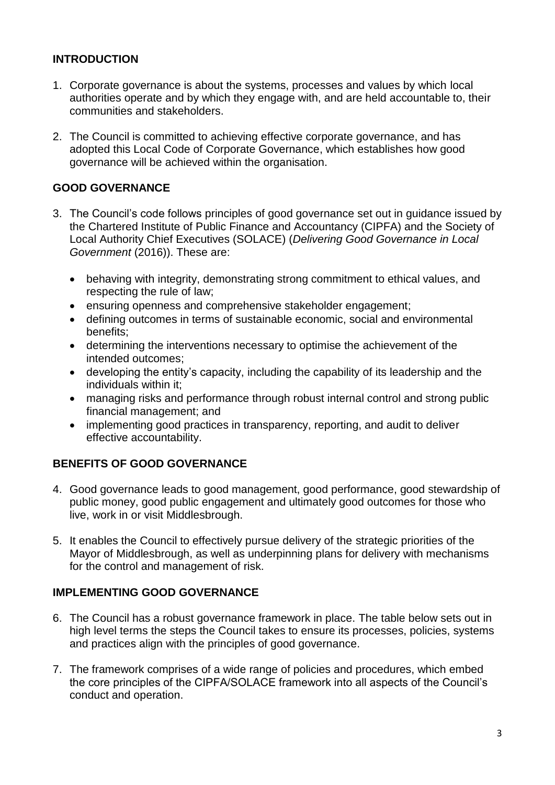### **INTRODUCTION**

- 1. Corporate governance is about the systems, processes and values by which local authorities operate and by which they engage with, and are held accountable to, their communities and stakeholders.
- 2. The Council is committed to achieving effective corporate governance, and has adopted this Local Code of Corporate Governance, which establishes how good governance will be achieved within the organisation.

### **GOOD GOVERNANCE**

- 3. The Council's code follows principles of good governance set out in guidance issued by the Chartered Institute of Public Finance and Accountancy (CIPFA) and the Society of Local Authority Chief Executives (SOLACE) (*Delivering Good Governance in Local Government* (2016)). These are:
	- behaving with integrity, demonstrating strong commitment to ethical values, and respecting the rule of law;
	- ensuring openness and comprehensive stakeholder engagement;
	- defining outcomes in terms of sustainable economic, social and environmental benefits;
	- determining the interventions necessary to optimise the achievement of the intended outcomes;
	- developing the entity's capacity, including the capability of its leadership and the individuals within it;
	- managing risks and performance through robust internal control and strong public financial management; and
	- implementing good practices in transparency, reporting, and audit to deliver effective accountability.

# **BENEFITS OF GOOD GOVERNANCE**

- 4. Good governance leads to good management, good performance, good stewardship of public money, good public engagement and ultimately good outcomes for those who live, work in or visit Middlesbrough.
- 5. It enables the Council to effectively pursue delivery of the strategic priorities of the Mayor of Middlesbrough, as well as underpinning plans for delivery with mechanisms for the control and management of risk.

#### **IMPLEMENTING GOOD GOVERNANCE**

- 6. The Council has a robust governance framework in place. The table below sets out in high level terms the steps the Council takes to ensure its processes, policies, systems and practices align with the principles of good governance.
- 7. The framework comprises of a wide range of policies and procedures, which embed the core principles of the CIPFA/SOLACE framework into all aspects of the Council's conduct and operation.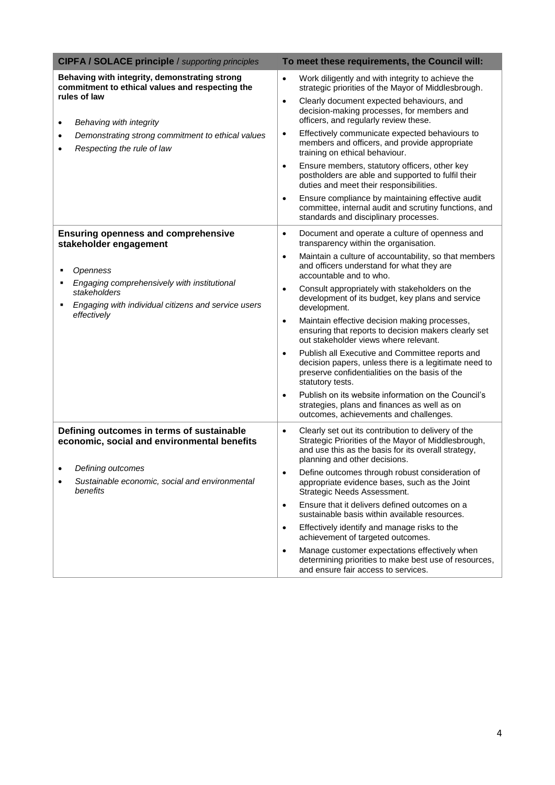| <b>CIPFA / SOLACE principle / supporting principles</b>                                                            | To meet these requirements, the Council will:                                                                                                                                                                   |
|--------------------------------------------------------------------------------------------------------------------|-----------------------------------------------------------------------------------------------------------------------------------------------------------------------------------------------------------------|
| Behaving with integrity, demonstrating strong<br>commitment to ethical values and respecting the                   | Work diligently and with integrity to achieve the<br>$\bullet$<br>strategic priorities of the Mayor of Middlesbrough.                                                                                           |
| rules of law<br>Behaving with integrity<br>$\bullet$                                                               | Clearly document expected behaviours, and<br>$\bullet$<br>decision-making processes, for members and<br>officers, and regularly review these.                                                                   |
| Demonstrating strong commitment to ethical values<br>$\bullet$<br>Respecting the rule of law                       | Effectively communicate expected behaviours to<br>$\bullet$<br>members and officers, and provide appropriate<br>training on ethical behaviour.                                                                  |
|                                                                                                                    | Ensure members, statutory officers, other key<br>$\bullet$<br>postholders are able and supported to fulfil their<br>duties and meet their responsibilities.                                                     |
|                                                                                                                    | Ensure compliance by maintaining effective audit<br>$\bullet$<br>committee, internal audit and scrutiny functions, and<br>standards and disciplinary processes.                                                 |
| <b>Ensuring openness and comprehensive</b><br>stakeholder engagement                                               | Document and operate a culture of openness and<br>$\bullet$<br>transparency within the organisation.                                                                                                            |
| Openness<br>٠                                                                                                      | Maintain a culture of accountability, so that members<br>$\bullet$<br>and officers understand for what they are<br>accountable and to who.                                                                      |
| Engaging comprehensively with institutional<br>stakeholders<br>Engaging with individual citizens and service users | Consult appropriately with stakeholders on the<br>$\bullet$<br>development of its budget, key plans and service<br>development.                                                                                 |
| effectively                                                                                                        | Maintain effective decision making processes,<br>$\bullet$<br>ensuring that reports to decision makers clearly set<br>out stakeholder views where relevant.                                                     |
|                                                                                                                    | Publish all Executive and Committee reports and<br>$\bullet$<br>decision papers, unless there is a legitimate need to<br>preserve confidentialities on the basis of the<br>statutory tests.                     |
|                                                                                                                    | Publish on its website information on the Council's<br>$\bullet$<br>strategies, plans and finances as well as on<br>outcomes, achievements and challenges.                                                      |
| Defining outcomes in terms of sustainable<br>economic, social and environmental benefits                           | Clearly set out its contribution to delivery of the<br>$\bullet$<br>Strategic Priorities of the Mayor of Middlesbrough,<br>and use this as the basis for its overall strategy,<br>planning and other decisions. |
| Defining outcomes                                                                                                  | Define outcomes through robust consideration of                                                                                                                                                                 |
| Sustainable economic, social and environmental<br>benefits                                                         | appropriate evidence bases, such as the Joint<br>Strategic Needs Assessment.                                                                                                                                    |
|                                                                                                                    | Ensure that it delivers defined outcomes on a<br>$\bullet$<br>sustainable basis within available resources.                                                                                                     |
|                                                                                                                    | Effectively identify and manage risks to the<br>$\bullet$<br>achievement of targeted outcomes.                                                                                                                  |
|                                                                                                                    | Manage customer expectations effectively when<br>$\bullet$<br>determining priorities to make best use of resources,<br>and ensure fair access to services.                                                      |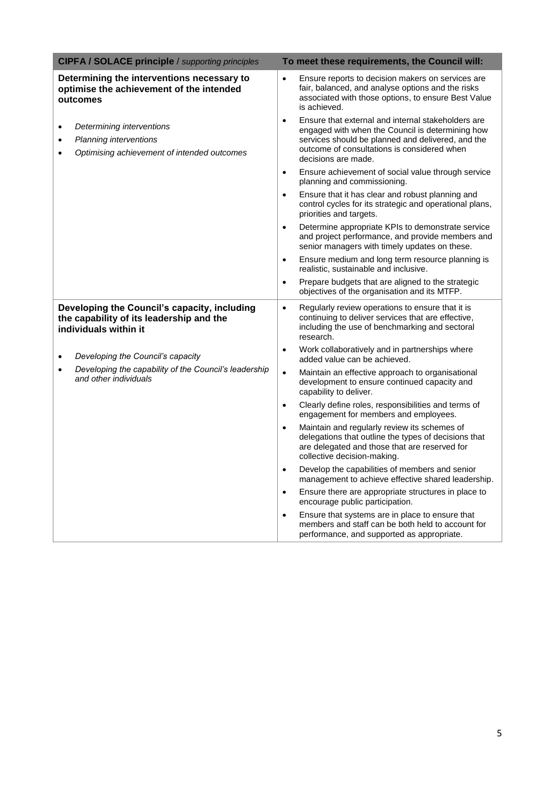| <b>CIPFA / SOLACE principle / supporting principles</b>                                                                             | To meet these requirements, the Council will:                                                                                                                                                                                                  |
|-------------------------------------------------------------------------------------------------------------------------------------|------------------------------------------------------------------------------------------------------------------------------------------------------------------------------------------------------------------------------------------------|
| Determining the interventions necessary to<br>optimise the achievement of the intended<br>outcomes                                  | Ensure reports to decision makers on services are<br>$\bullet$<br>fair, balanced, and analyse options and the risks<br>associated with those options, to ensure Best Value<br>is achieved.                                                     |
| Determining interventions<br>$\bullet$<br><b>Planning interventions</b><br>$\bullet$<br>Optimising achievement of intended outcomes | Ensure that external and internal stakeholders are<br>$\bullet$<br>engaged with when the Council is determining how<br>services should be planned and delivered, and the<br>outcome of consultations is considered when<br>decisions are made. |
|                                                                                                                                     | Ensure achievement of social value through service<br>$\bullet$<br>planning and commissioning.                                                                                                                                                 |
|                                                                                                                                     | Ensure that it has clear and robust planning and<br>$\bullet$<br>control cycles for its strategic and operational plans,<br>priorities and targets.                                                                                            |
|                                                                                                                                     | Determine appropriate KPIs to demonstrate service<br>$\bullet$<br>and project performance, and provide members and<br>senior managers with timely updates on these.                                                                            |
|                                                                                                                                     | Ensure medium and long term resource planning is<br>$\bullet$<br>realistic, sustainable and inclusive.                                                                                                                                         |
|                                                                                                                                     | Prepare budgets that are aligned to the strategic<br>$\bullet$<br>objectives of the organisation and its MTFP.                                                                                                                                 |
| Developing the Council's capacity, including<br>the capability of its leadership and the<br>individuals within it                   | Regularly review operations to ensure that it is<br>$\bullet$<br>continuing to deliver services that are effective,<br>including the use of benchmarking and sectoral<br>research.                                                             |
| Developing the Council's capacity<br>$\bullet$                                                                                      | Work collaboratively and in partnerships where<br>$\bullet$<br>added value can be achieved.                                                                                                                                                    |
| Developing the capability of the Council's leadership<br>$\bullet$<br>and other individuals                                         | Maintain an effective approach to organisational<br>$\bullet$<br>development to ensure continued capacity and<br>capability to deliver.                                                                                                        |
|                                                                                                                                     | Clearly define roles, responsibilities and terms of<br>$\bullet$<br>engagement for members and employees.                                                                                                                                      |
|                                                                                                                                     | Maintain and regularly review its schemes of<br>$\bullet$<br>delegations that outline the types of decisions that<br>are delegated and those that are reserved for<br>collective decision-making.                                              |
|                                                                                                                                     | Develop the capabilities of members and senior<br>$\bullet$<br>management to achieve effective shared leadership.                                                                                                                              |
|                                                                                                                                     | Ensure there are appropriate structures in place to<br>$\bullet$<br>encourage public participation.                                                                                                                                            |
|                                                                                                                                     | Ensure that systems are in place to ensure that<br>$\bullet$<br>members and staff can be both held to account for<br>performance, and supported as appropriate.                                                                                |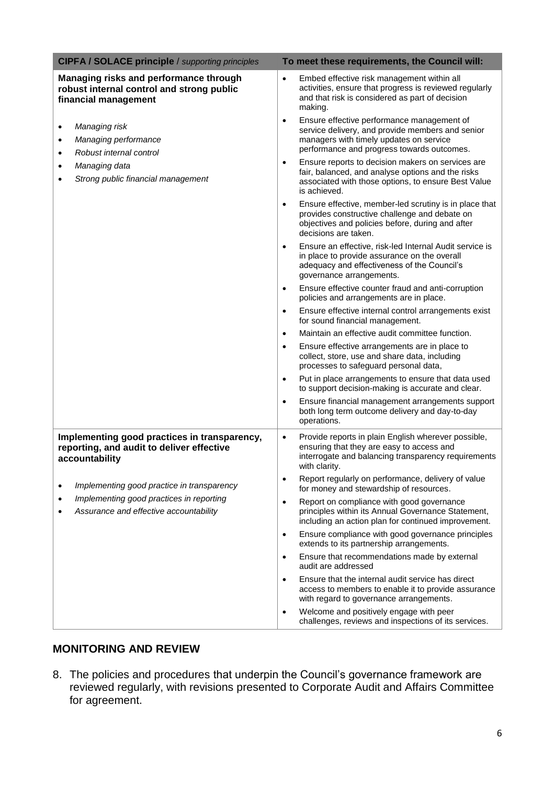| <b>CIPFA / SOLACE principle / supporting principles</b>                                                     | To meet these requirements, the Council will:                                                                                                                                                        |
|-------------------------------------------------------------------------------------------------------------|------------------------------------------------------------------------------------------------------------------------------------------------------------------------------------------------------|
| Managing risks and performance through<br>robust internal control and strong public<br>financial management | Embed effective risk management within all<br>$\bullet$<br>activities, ensure that progress is reviewed regularly<br>and that risk is considered as part of decision<br>making.                      |
| Managing risk<br>$\bullet$<br>Managing performance<br>$\bullet$<br>Robust internal control<br>٠             | Ensure effective performance management of<br>$\bullet$<br>service delivery, and provide members and senior<br>managers with timely updates on service<br>performance and progress towards outcomes. |
| Managing data<br>$\bullet$<br>Strong public financial management<br>$\bullet$                               | Ensure reports to decision makers on services are<br>$\bullet$<br>fair, balanced, and analyse options and the risks<br>associated with those options, to ensure Best Value<br>is achieved.           |
|                                                                                                             | Ensure effective, member-led scrutiny is in place that<br>$\bullet$<br>provides constructive challenge and debate on<br>objectives and policies before, during and after<br>decisions are taken.     |
|                                                                                                             | Ensure an effective, risk-led Internal Audit service is<br>$\bullet$<br>in place to provide assurance on the overall<br>adequacy and effectiveness of the Council's<br>governance arrangements.      |
|                                                                                                             | Ensure effective counter fraud and anti-corruption<br>$\bullet$<br>policies and arrangements are in place.                                                                                           |
|                                                                                                             | Ensure effective internal control arrangements exist<br>$\bullet$<br>for sound financial management.                                                                                                 |
|                                                                                                             | Maintain an effective audit committee function.<br>$\bullet$                                                                                                                                         |
|                                                                                                             | Ensure effective arrangements are in place to<br>$\bullet$<br>collect, store, use and share data, including<br>processes to safeguard personal data,                                                 |
|                                                                                                             | Put in place arrangements to ensure that data used<br>$\bullet$<br>to support decision-making is accurate and clear.                                                                                 |
|                                                                                                             | Ensure financial management arrangements support<br>$\bullet$<br>both long term outcome delivery and day-to-day<br>operations.                                                                       |
| Implementing good practices in transparency,<br>reporting, and audit to deliver effective<br>accountability | Provide reports in plain English wherever possible,<br>$\bullet$<br>ensuring that they are easy to access and<br>interrogate and balancing transparency requirements<br>with clarity.                |
| Implementing good practice in transparency<br>٠                                                             | Report regularly on performance, delivery of value<br>$\bullet$<br>for money and stewardship of resources.                                                                                           |
| Implementing good practices in reporting<br>Assurance and effective accountability                          | Report on compliance with good governance<br>$\bullet$<br>principles within its Annual Governance Statement,<br>including an action plan for continued improvement.                                  |
|                                                                                                             | Ensure compliance with good governance principles<br>$\bullet$<br>extends to its partnership arrangements.                                                                                           |
|                                                                                                             | Ensure that recommendations made by external<br>$\bullet$<br>audit are addressed                                                                                                                     |
|                                                                                                             | Ensure that the internal audit service has direct<br>٠<br>access to members to enable it to provide assurance<br>with regard to governance arrangements.                                             |
|                                                                                                             | Welcome and positively engage with peer<br>$\bullet$<br>challenges, reviews and inspections of its services.                                                                                         |

# **MONITORING AND REVIEW**

8. The policies and procedures that underpin the Council's governance framework are reviewed regularly, with revisions presented to Corporate Audit and Affairs Committee for agreement.